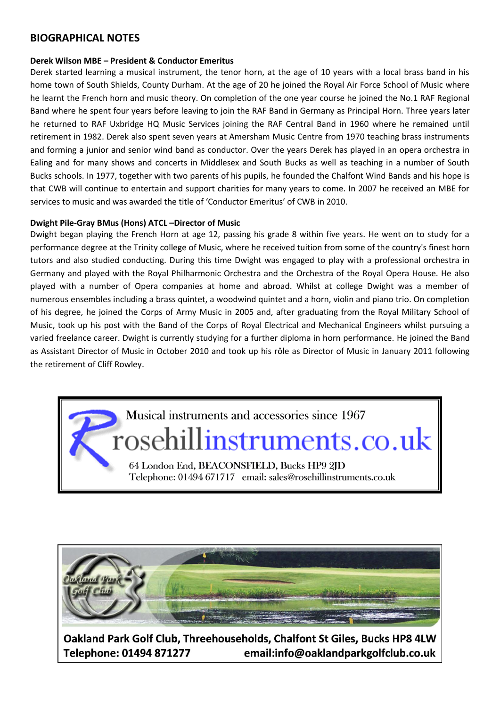### **BIOGRAPHICAL NOTES**

#### **Derek Wilson MBE – President & Conductor Emeritus**

Derek started learning a musical instrument, the tenor horn, at the age of 10 years with a local brass band in his home town of South Shields, County Durham. At the age of 20 he joined the Royal Air Force School of Music where he learnt the French horn and music theory. On completion of the one year course he joined the No.1 RAF Regional Band where he spent four years before leaving to join the RAF Band in Germany as Principal Horn. Three years later he returned to RAF Uxbridge HQ Music Services joining the RAF Central Band in 1960 where he remained until retirement in 1982. Derek also spent seven years at Amersham Music Centre from 1970 teaching brass instruments and forming a junior and senior wind band as conductor. Over the years Derek has played in an opera orchestra in Ealing and for many shows and concerts in Middlesex and South Bucks as well as teaching in a number of South Bucks schools. In 1977, together with two parents of his pupils, he founded the Chalfont Wind Bands and his hope is that CWB will continue to entertain and support charities for many years to come. In 2007 he received an MBE for services to music and was awarded the title of 'Conductor Emeritus' of CWB in 2010.

#### **Dwight Pile-Gray BMus (Hons) ATCL –Director of Music**

Dwight began playing the French Horn at age 12, passing his grade 8 within five years. He went on to study for a performance degree at the Trinity college of Music, where he received tuition from some of the country's finest horn tutors and also studied conducting. During this time Dwight was engaged to play with a professional orchestra in Germany and played with the Royal Philharmonic Orchestra and the Orchestra of the Royal Opera House. He also played with a number of Opera companies at home and abroad. Whilst at college Dwight was a member of numerous ensembles including a brass quintet, a woodwind quintet and a horn, violin and piano trio. On completion of his degree, he joined the Corps of Army Music in 2005 and, after graduating from the Royal Military School of Music, took up his post with the Band of the Corps of Royal Electrical and Mechanical Engineers whilst pursuing a varied freelance career. Dwight is currently studying for a further diploma in horn performance. He joined the Band as Assistant Director of Music in October 2010 and took up his rôle as Director of Music in January 2011 following the retirement of Cliff Rowley.





Oakland Park Golf Club, Threehouseholds, Chalfont St Giles, Bucks HP8 4LW Telephone: 01494 871277 email:info@oaklandparkgolfclub.co.uk